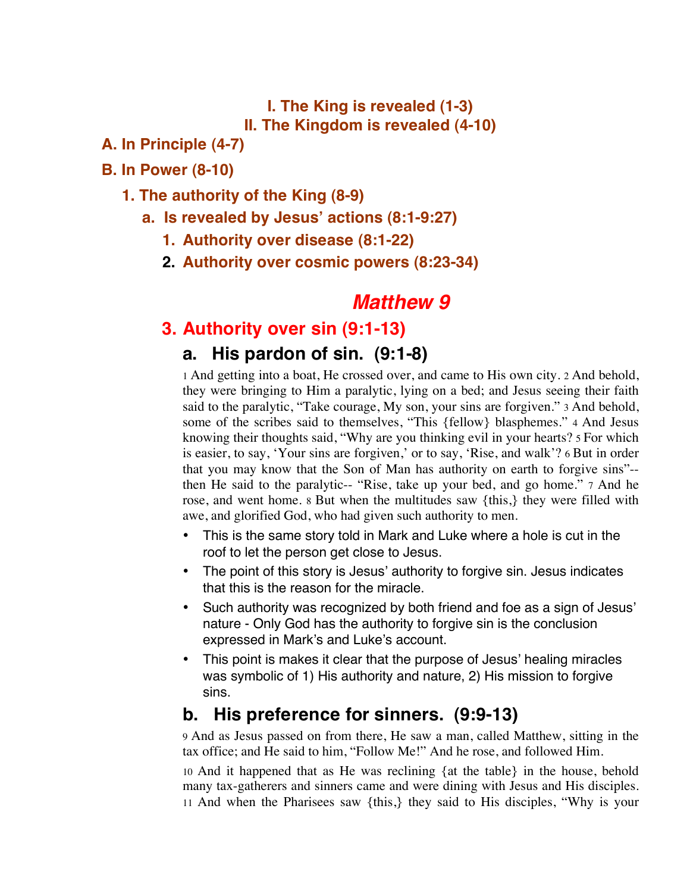**I. The King is revealed (1-3) II. The Kingdom is revealed (4-10)**

#### **A. In Principle (4-7)**

#### **B. In Power (8-10)**

#### **1. The authority of the King (8-9)**

- **a. Is revealed by Jesus' actions (8:1-9:27)**
	- **1. Authority over disease (8:1-22)**
	- **2. Authority over cosmic powers (8:23-34)**

# *Matthew 9*

# **3. Authority over sin (9:1-13)**

### **a. His pardon of sin. (9:1-8)**

1 And getting into a boat, He crossed over, and came to His own city. 2 And behold, they were bringing to Him a paralytic, lying on a bed; and Jesus seeing their faith said to the paralytic, "Take courage, My son, your sins are forgiven." 3 And behold, some of the scribes said to themselves, "This {fellow} blasphemes." 4 And Jesus knowing their thoughts said, "Why are you thinking evil in your hearts? 5 For which is easier, to say, 'Your sins are forgiven,' or to say, 'Rise, and walk'? 6 But in order that you may know that the Son of Man has authority on earth to forgive sins"- then He said to the paralytic-- "Rise, take up your bed, and go home." 7 And he rose, and went home. 8 But when the multitudes saw {this,} they were filled with awe, and glorified God, who had given such authority to men.

- This is the same story told in Mark and Luke where a hole is cut in the roof to let the person get close to Jesus.
- The point of this story is Jesus' authority to forgive sin. Jesus indicates that this is the reason for the miracle.
- Such authority was recognized by both friend and foe as a sign of Jesus' nature - Only God has the authority to forgive sin is the conclusion expressed in Mark's and Luke's account.
- This point is makes it clear that the purpose of Jesus' healing miracles was symbolic of 1) His authority and nature, 2) His mission to forgive sins.

## **b. His preference for sinners. (9:9-13)**

9 And as Jesus passed on from there, He saw a man, called Matthew, sitting in the tax office; and He said to him, "Follow Me!" And he rose, and followed Him.

10 And it happened that as He was reclining {at the table} in the house, behold many tax-gatherers and sinners came and were dining with Jesus and His disciples. 11 And when the Pharisees saw {this,} they said to His disciples, "Why is your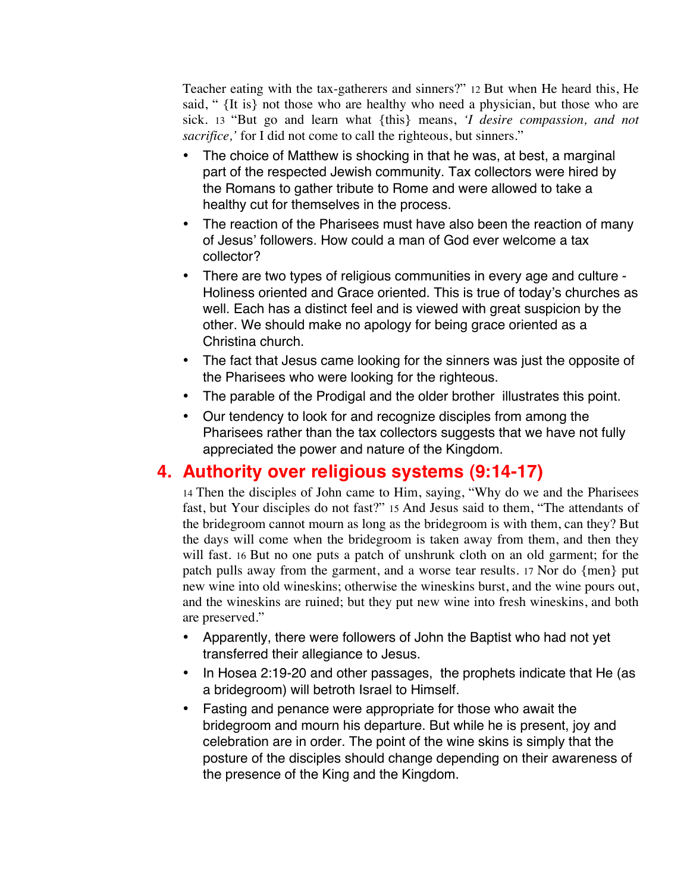Teacher eating with the tax-gatherers and sinners?" 12 But when He heard this, He said, " {It is} not those who are healthy who need a physician, but those who are sick. 13 "But go and learn what {this} means, *'I desire compassion, and not sacrifice,'* for I did not come to call the righteous, but sinners."

- The choice of Matthew is shocking in that he was, at best, a marginal part of the respected Jewish community. Tax collectors were hired by the Romans to gather tribute to Rome and were allowed to take a healthy cut for themselves in the process.
- The reaction of the Pharisees must have also been the reaction of many of Jesus' followers. How could a man of God ever welcome a tax collector?
- There are two types of religious communities in every age and culture Holiness oriented and Grace oriented. This is true of today's churches as well. Each has a distinct feel and is viewed with great suspicion by the other. We should make no apology for being grace oriented as a Christina church.
- The fact that Jesus came looking for the sinners was just the opposite of the Pharisees who were looking for the righteous.
- The parable of the Prodigal and the older brother illustrates this point.
- Our tendency to look for and recognize disciples from among the Pharisees rather than the tax collectors suggests that we have not fully appreciated the power and nature of the Kingdom.

# **4. Authority over religious systems (9:14-17)**

14 Then the disciples of John came to Him, saying, "Why do we and the Pharisees fast, but Your disciples do not fast?" 15 And Jesus said to them, "The attendants of the bridegroom cannot mourn as long as the bridegroom is with them, can they? But the days will come when the bridegroom is taken away from them, and then they will fast. 16 But no one puts a patch of unshrunk cloth on an old garment; for the patch pulls away from the garment, and a worse tear results. 17 Nor do {men} put new wine into old wineskins; otherwise the wineskins burst, and the wine pours out, and the wineskins are ruined; but they put new wine into fresh wineskins, and both are preserved."

- Apparently, there were followers of John the Baptist who had not yet transferred their allegiance to Jesus.
- In Hosea 2:19-20 and other passages, the prophets indicate that He (as a bridegroom) will betroth Israel to Himself.
- Fasting and penance were appropriate for those who await the bridegroom and mourn his departure. But while he is present, joy and celebration are in order. The point of the wine skins is simply that the posture of the disciples should change depending on their awareness of the presence of the King and the Kingdom.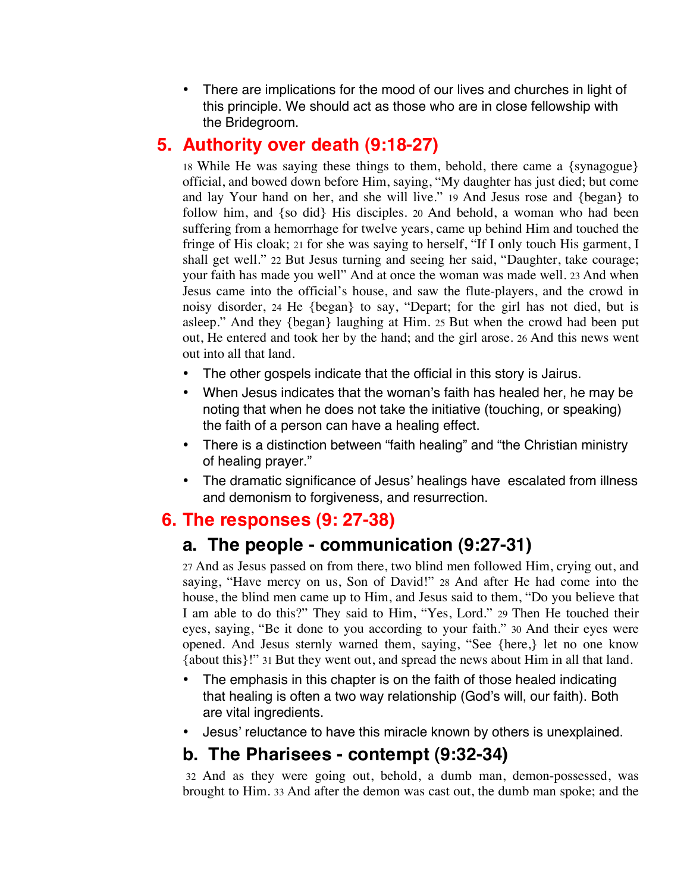• There are implications for the mood of our lives and churches in light of this principle. We should act as those who are in close fellowship with the Bridegroom.

## **5. Authority over death (9:18-27)**

 18 While He was saying these things to them, behold, there came a {synagogue} official, and bowed down before Him, saying, "My daughter has just died; but come and lay Your hand on her, and she will live." 19 And Jesus rose and {began} to follow him, and {so did} His disciples. 20 And behold, a woman who had been suffering from a hemorrhage for twelve years, came up behind Him and touched the fringe of His cloak; 21 for she was saying to herself, "If I only touch His garment, I shall get well." 22 But Jesus turning and seeing her said, "Daughter, take courage; your faith has made you well" And at once the woman was made well. 23 And when Jesus came into the official's house, and saw the flute-players, and the crowd in noisy disorder, 24 He {began} to say, "Depart; for the girl has not died, but is asleep." And they {began} laughing at Him. 25 But when the crowd had been put out, He entered and took her by the hand; and the girl arose. 26 And this news went out into all that land.

- The other gospels indicate that the official in this story is Jairus.
- When Jesus indicates that the woman's faith has healed her, he may be noting that when he does not take the initiative (touching, or speaking) the faith of a person can have a healing effect.
- There is a distinction between "faith healing" and "the Christian ministry of healing prayer."
- The dramatic significance of Jesus' healings have escalated from illness and demonism to forgiveness, and resurrection.

## **6. The responses (9: 27-38)**

# **a. The people - communication (9:27-31)**

27 And as Jesus passed on from there, two blind men followed Him, crying out, and saying, "Have mercy on us, Son of David!" 28 And after He had come into the house, the blind men came up to Him, and Jesus said to them, "Do you believe that I am able to do this?" They said to Him, "Yes, Lord." 29 Then He touched their eyes, saying, "Be it done to you according to your faith." 30 And their eyes were opened. And Jesus sternly warned them, saying, "See {here,} let no one know {about this}!" 31 But they went out, and spread the news about Him in all that land.

- The emphasis in this chapter is on the faith of those healed indicating that healing is often a two way relationship (God's will, our faith). Both are vital ingredients.
- Jesus' reluctance to have this miracle known by others is unexplained.

### **b. The Pharisees - contempt (9:32-34)**

 32 And as they were going out, behold, a dumb man, demon-possessed, was brought to Him. 33 And after the demon was cast out, the dumb man spoke; and the